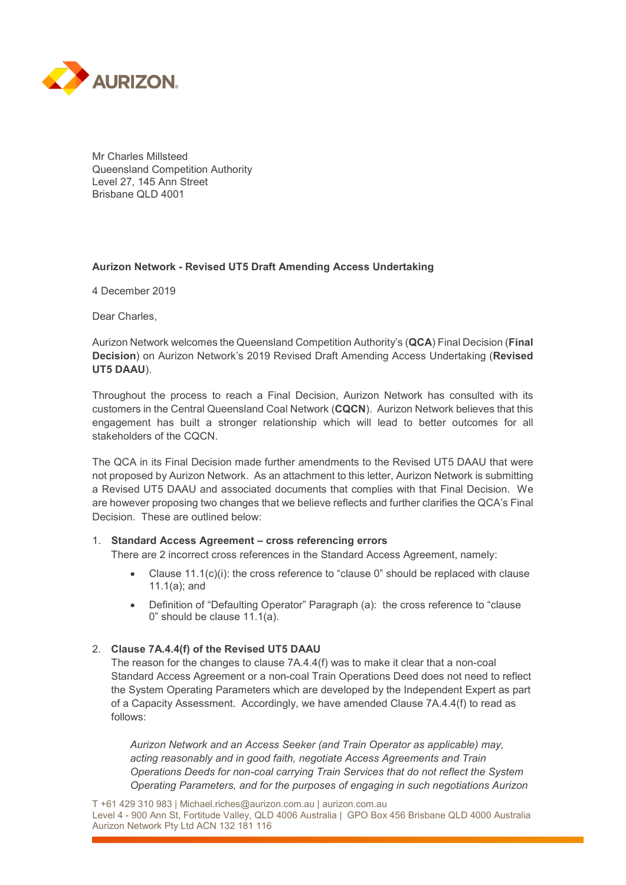

Mr Charles Millsteed Queensland Competition Authority Level 27, 145 Ann Street Brisbane QLD 4001

## **Aurizon Network - Revised UT5 Draft Amending Access Undertaking**

4 December 2019

Dear Charles,

Aurizon Network welcomes the Queensland Competition Authority's (**QCA**) Final Decision (**Final Decision**) on Aurizon Network's 2019 Revised Draft Amending Access Undertaking (**Revised UT5 DAAU**).

Throughout the process to reach a Final Decision, Aurizon Network has consulted with its customers in the Central Queensland Coal Network (**CQCN**). Aurizon Network believes that this engagement has built a stronger relationship which will lead to better outcomes for all stakeholders of the CQCN.

The QCA in its Final Decision made further amendments to the Revised UT5 DAAU that were not proposed by Aurizon Network. As an attachment to this letter, Aurizon Network is submitting a Revised UT5 DAAU and associated documents that complies with that Final Decision. We are however proposing two changes that we believe reflects and further clarifies the QCA's Final Decision. These are outlined below:

## 1. **Standard Access Agreement – cross referencing errors**

There are 2 incorrect cross references in the Standard Access Agreement, namely:

- Clause  $11.1(c)(i)$ ; the cross reference to "clause 0" should be replaced with clause 11.1(a); and
- Definition of "Defaulting Operator" Paragraph (a): the cross reference to "clause 0" should be clause 11.1(a).

## 2. **Clause 7A.4.4(f) of the Revised UT5 DAAU**

The reason for the changes to clause 7A.4.4(f) was to make it clear that a non-coal Standard Access Agreement or a non-coal Train Operations Deed does not need to reflect the System Operating Parameters which are developed by the Independent Expert as part of a Capacity Assessment. Accordingly, we have amended Clause 7A.4.4(f) to read as follows:

*Aurizon Network and an Access Seeker (and Train Operator as applicable) may, acting reasonably and in good faith, negotiate Access Agreements and Train Operations Deeds for non-coal carrying Train Services that do not reflect the System Operating Parameters, and for the purposes of engaging in such negotiations Aurizon*